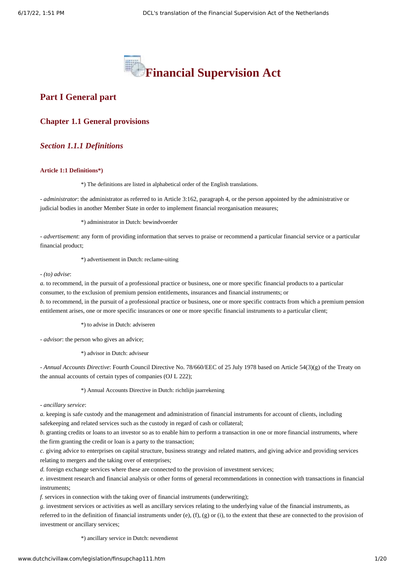

# **Part I General part**

## **Chapter 1.1 General provisions**

# *Section 1.1.1 Definitions*

#### **Article 1:1 Definitions\*)**

\*) The definitions are listed in alphabetical order of the English translations.

*- administrator*: the administrator as referred to in Article 3:162, paragraph 4, or the person appointed by the administrative or judicial bodies in another Member State in order to implement financial reorganisation measures;

\*) administrator in Dutch: bewindvoerder

*- advertisement*: any form of providing information that serves to praise or recommend a particular financial service or a particular financial product;

\*) advertisement in Dutch: reclame-uiting

*- (to) advise*:

*a.* to recommend, in the pursuit of a professional practice or business, one or more specific financial products to a particular consumer, to the exclusion of premium pension entitlements, insurances and financial instruments; or

*b.* to recommend, in the pursuit of a professional practice or business, one or more specific contracts from which a premium pension entitlement arises, one or more specific insurances or one or more specific financial instruments to a particular client;

\*) to advise in Dutch: adviseren

*- advisor*: the person who gives an advice;

\*) advisor in Dutch: adviseur

*- Annual Accounts Directive*: Fourth Council Directive No. 78/660/EEC of 25 July 1978 based on Article 54(3)(g) of the Treaty on the annual accounts of certain types of companies (OJ L 222);

#### \*) Annual Accounts Directive in Dutch: richtlijn jaarrekening

*- ancillary service*:

*a.* keeping is safe custody and the management and administration of financial instruments for account of clients, including safekeeping and related services such as the custody in regard of cash or collateral;

*b.* granting credits or loans to an investor so as to enable him to perform a transaction in one or more financial instruments, where the firm granting the credit or loan is a party to the transaction;

*c.* giving advice to enterprises on capital structure, business strategy and related matters, and giving advice and providing services relating to mergers and the taking over of enterprises;

*d.* foreign exchange services where these are connected to the provision of investment services;

*e.* investment research and financial analysis or other forms of general recommendations in connection with transactions in financial instruments;

*f.* services in connection with the taking over of financial instruments (underwriting);

*g.* investment services or activities as well as ancillary services relating to the underlying value of the financial instruments, as referred to in the definition of financial instruments under (e), (f), (g) or (i), to the extent that these are connected to the provision of investment or ancillary services;

\*) ancillary service in Dutch: nevendienst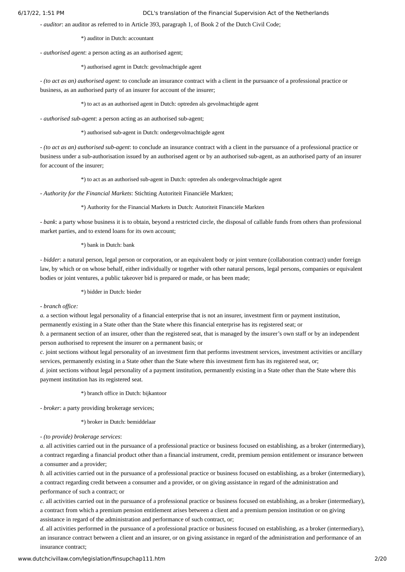*- auditor*: an auditor as referred to in Article 393, paragraph 1, of Book 2 of the Dutch Civil Code;

\*) auditor in Dutch: accountant

*- authorised agent*: a person acting as an authorised agent;

\*) authorised agent in Dutch: gevolmachtigde agent

*- (to act as an) authorised agent*: to conclude an insurance contract with a client in the pursuance of a professional practice or business, as an authorised party of an insurer for account of the insurer;

\*) to act as an authorised agent in Dutch: optreden als gevolmachtigde agent

*- authorised sub-agent*: a person acting as an authorised sub-agent;

\*) authorised sub-agent in Dutch: ondergevolmachtigde agent

*- (to act as an) authorised sub-agent*: to conclude an insurance contract with a client in the pursuance of a professional practice or business under a sub-authorisation issued by an authorised agent or by an authorised sub-agent, as an authorised party of an insurer for account of the insurer;

\*) to act as an authorised sub-agent in Dutch: optreden als ondergevolmachtigde agent

*- Authority for the Financial Markets*: Stichting Autoriteit Financiële Markten;

\*) Authority for the Financial Markets in Dutch: Autoriteit Financiële Markten

*- bank*: a party whose business it is to obtain, beyond a restricted circle, the disposal of callable funds from others than professional market parties, and to extend loans for its own account;

\*) bank in Dutch: bank

*- bidder*: a natural person, legal person or corporation, or an equivalent body or joint venture (collaboration contract) under foreign law, by which or on whose behalf, either individually or together with other natural persons, legal persons, companies or equivalent bodies or joint ventures, a public takeover bid is prepared or made, or has been made;

\*) bidder in Dutch: bieder

*- branch office:*

*a.* a section without legal personality of a financial enterprise that is not an insurer, investment firm or payment institution,

permanently existing in a State other than the State where this financial enterprise has its registered seat; or

*b.* a permanent section of an insurer, other than the registered seat, that is managed by the insurer's own staff or by an independent person authorised to represent the insurer on a permanent basis; or

*c.* joint sections without legal personality of an investment firm that performs investment services, investment activities or ancillary services, permanently existing in a State other than the State where this investment firm has its registered seat, or;

*d.* joint sections without legal personality of a payment institution, permanently existing in a State other than the State where this payment institution has its registered seat.

\*) branch office in Dutch: bijkantoor

*- broker*: a party providing brokerage services;

\*) broker in Dutch: bemiddelaar

*- (to provide) brokerage services*:

*a.* all activities carried out in the pursuance of a professional practice or business focused on establishing, as a broker (intermediary), a contract regarding a financial product other than a financial instrument, credit, premium pension entitlement or insurance between a consumer and a provider;

*b.* all activities carried out in the pursuance of a professional practice or business focused on establishing, as a broker (intermediary), a contract regarding credit between a consumer and a provider, or on giving assistance in regard of the administration and performance of such a contract; or

*c.* all activities carried out in the pursuance of a professional practice or business focused on establishing, as a broker (intermediary), a contract from which a premium pension entitlement arises between a client and a premium pension institution or on giving assistance in regard of the administration and performance of such contract, or;

*d.* all activities performed in the pursuance of a professional practice or business focused on establishing, as a broker (intermediary), an insurance contract between a client and an insurer, or on giving assistance in regard of the administration and performance of an insurance contract;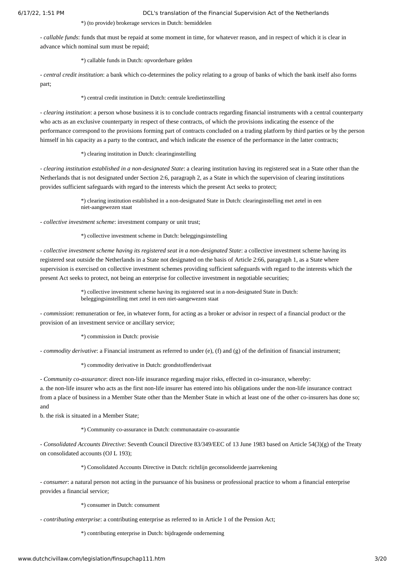#### \*) (to provide) brokerage services in Dutch: bemiddelen

*- callable funds*: funds that must be repaid at some moment in time, for whatever reason, and in respect of which it is clear in advance which nominal sum must be repaid;

\*) callable funds in Dutch: opvorderbare gelden

*- central credit institution*: a bank which co-determines the policy relating to a group of banks of which the bank itself also forms part;

\*) central credit institution in Dutch: centrale kredietinstelling

*- clearing institution*: a person whose business it is to conclude contracts regarding financial instruments with a central counterparty who acts as an exclusive counterparty in respect of these contracts, of which the provisions indicating the essence of the performance correspond to the provisions forming part of contracts concluded on a trading platform by third parties or by the person himself in his capacity as a party to the contract, and which indicate the essence of the performance in the latter contracts;

\*) clearing institution in Dutch: clearinginstelling

*- clearing institution established in a non-designated State*: a clearing institution having its registered seat in a State other than the Netherlands that is not designated under Section 2:6, paragraph 2, as a State in which the supervision of clearing institutions provides sufficient safeguards with regard to the interests which the present Act seeks to protect;

> \*) clearing institution established in a non-designated State in Dutch: clearinginstelling met zetel in een niet-aangewezen staat

*- collective investment scheme*: investment company or unit trust;

\*) collective investment scheme in Dutch: beleggingsinstelling

*- collective investment scheme having its registered seat in a non-designated State*: a collective investment scheme having its registered seat outside the Netherlands in a State not designated on the basis of Article 2:66, paragraph 1, as a State where supervision is exercised on collective investment schemes providing sufficient safeguards with regard to the interests which the present Act seeks to protect, not being an enterprise for collective investment in negotiable securities;

> \*) collective investment scheme having its registered seat in a non-designated State in Dutch: beleggingsinstelling met zetel in een niet-aangewezen staat

*- commission*: remuneration or fee, in whatever form, for acting as a broker or advisor in respect of a financial product or the provision of an investment service or ancillary service;

\*) commission in Dutch: provisie

*- commodity derivative*: a Financial instrument as referred to under (e), (f) and (g) of the definition of financial instrument;

\*) commodity derivative in Dutch: grondstoffenderivaat

*- Community co-assurance*: direct non-life insurance regarding major risks, effected in co-insurance, whereby:

a. the non-life insurer who acts as the first non-life insurer has entered into his obligations under the non-life insurance contract from a place of business in a Member State other than the Member State in which at least one of the other co-insurers has done so; and

b. the risk is situated in a Member State;

\*) Community co-assurance in Dutch: communautaire co-assurantie

*- Consolidated Accounts Directive*: Seventh Council Directive 83/349/EEC of 13 June 1983 based on Article 54(3)(g) of the Treaty on consolidated accounts (OJ L 193);

\*) Consolidated Accounts Directive in Dutch: richtlijn geconsolideerde jaarrekening

*- consumer*: a natural person not acting in the pursuance of his business or professional practice to whom a financial enterprise provides a financial service;

\*) consumer in Dutch: consument

*- contributing enterprise*: a contributing enterprise as referred to in Article 1 of the Pension Act;

\*) contributing enterprise in Dutch: bijdragende onderneming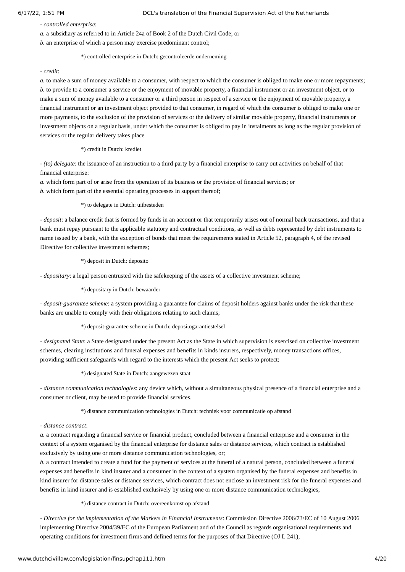*- controlled enterprise*:

*a.* a subsidiary as referred to in Article 24a of Book 2 of the Dutch Civil Code; or

*b.* an enterprise of which a person may exercise predominant control;

### \*) controlled enterprise in Dutch: gecontroleerde onderneming

### *- credit*:

*a.* to make a sum of money available to a consumer, with respect to which the consumer is obliged to make one or more repayments; *b.* to provide to a consumer a service or the enjoyment of movable property, a financial instrument or an investment object, or to make a sum of money available to a consumer or a third person in respect of a service or the enjoyment of movable property, a financial instrument or an investment object provided to that consumer, in regard of which the consumer is obliged to make one or more payments, to the exclusion of the provision of services or the delivery of similar movable property, financial instruments or investment objects on a regular basis, under which the consumer is obliged to pay in instalments as long as the regular provision of services or the regular delivery takes place

\*) credit in Dutch: krediet

*- (to) delegate*: the issuance of an instruction to a third party by a financial enterprise to carry out activities on behalf of that financial enterprise:

*a.* which form part of or arise from the operation of its business or the provision of financial services; or *b.* which form part of the essential operating processes in support thereof;

\*) to delegate in Dutch: uitbesteden

*- deposit*: a balance credit that is formed by funds in an account or that temporarily arises out of normal bank transactions, and that a bank must repay pursuant to the applicable statutory and contractual conditions, as well as debts represented by debt instruments to name issued by a bank, with the exception of bonds that meet the requirements stated in Article 52, paragraph 4, of the revised Directive for collective investment schemes;

\*) deposit in Dutch: deposito

*- depositary*: a legal person entrusted with the safekeeping of the assets of a collective investment scheme;

\*) depositary in Dutch: bewaarder

*- deposit-guarantee scheme*: a system providing a guarantee for claims of deposit holders against banks under the risk that these banks are unable to comply with their obligations relating to such claims;

\*) deposit-guarantee scheme in Dutch: depositogarantiestelsel

*- designated State*: a State designated under the present Act as the State in which supervision is exercised on collective investment schemes, clearing institutions and funeral expenses and benefits in kinds insurers, respectively, money transactions offices, providing sufficient safeguards with regard to the interests which the present Act seeks to protect;

\*) designated State in Dutch: aangewezen staat

*- distance communication technologies*: any device which, without a simultaneous physical presence of a financial enterprise and a consumer or client, may be used to provide financial services.

\*) distance communication technologies in Dutch: techniek voor communicatie op afstand

*- distance contract*:

*a.* a contract regarding a financial service or financial product, concluded between a financial enterprise and a consumer in the context of a system organised by the financial enterprise for distance sales or distance services, which contract is established exclusively by using one or more distance communication technologies, or;

*b.* a contract intended to create a fund for the payment of services at the funeral of a natural person, concluded between a funeral expenses and benefits in kind insurer and a consumer in the context of a system organised by the funeral expenses and benefits in kind insurer for distance sales or distance services, which contract does not enclose an investment risk for the funeral expenses and benefits in kind insurer and is established exclusively by using one or more distance communication technologies;

\*) distance contract in Dutch: overeenkomst op afstand

*- Directive for the implementation of the Markets in Financial Instruments*: Commission Directive 2006/73/EC of 10 August 2006 implementing Directive 2004/39/EC of the European Parliament and of the Council as regards organisational requirements and operating conditions for investment firms and defined terms for the purposes of that Directive (OJ L 241);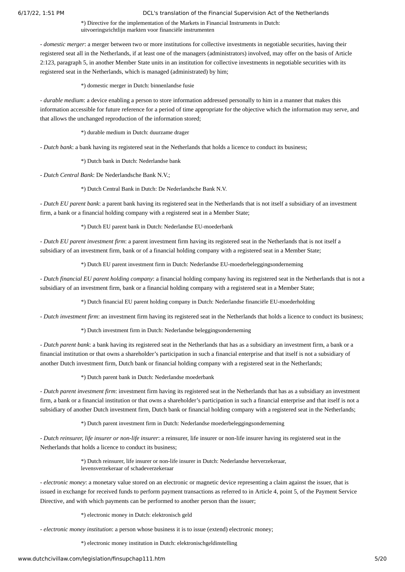\*) Directive for the implementation of the Markets in Financial Instruments in Dutch: uitvoeringsrichtlijn markten voor financiële instrumenten

*- domestic merger*: a merger between two or more institutions for collective investments in negotiable securities, having their registered seat all in the Netherlands, if at least one of the managers (administrators) involved, may offer on the basis of Article 2:123, paragraph 5, in another Member State units in an institution for collective investments in negotiable securities with its registered seat in the Netherlands, which is managed (administrated) by him;

\*) domestic merger in Dutch: binnenlandse fusie

*- durable medium*: a device enabling a person to store information addressed personally to him in a manner that makes this information accessible for future reference for a period of time appropriate for the objective which the information may serve, and that allows the unchanged reproduction of the information stored;

\*) durable medium in Dutch: duurzame drager

*- Dutch bank*: a bank having its registered seat in the Netherlands that holds a licence to conduct its business;

\*) Dutch bank in Dutch: Nederlandse bank

*- Dutch Central Bank*: De Nederlandsche Bank N.V.;

\*) Dutch Central Bank in Dutch: De Nederlandsche Bank N.V.

*- Dutch EU parent bank*: a parent bank having its registered seat in the Netherlands that is not itself a subsidiary of an investment firm, a bank or a financial holding company with a registered seat in a Member State;

\*) Dutch EU parent bank in Dutch: Nederlandse EU-moederbank

*- Dutch EU parent investment firm*: a parent investment firm having its registered seat in the Netherlands that is not itself a subsidiary of an investment firm, bank or of a financial holding company with a registered seat in a Member State;

\*) Dutch EU parent investment firm in Dutch: Nederlandse EU-moederbeleggingsonderneming

*- Dutch financial EU parent holding company*: a financial holding company having its registered seat in the Netherlands that is not a subsidiary of an investment firm, bank or a financial holding company with a registered seat in a Member State;

\*) Dutch financial EU parent holding company in Dutch: Nederlandse financiële EU-moederholding

*- Dutch investment firm*: an investment firm having its registered seat in the Netherlands that holds a licence to conduct its business;

\*) Dutch investment firm in Dutch: Nederlandse beleggingsonderneming

*- Dutch parent bank*: a bank having its registered seat in the Netherlands that has as a subsidiary an investment firm, a bank or a financial institution or that owns a shareholder's participation in such a financial enterprise and that itself is not a subsidiary of another Dutch investment firm, Dutch bank or financial holding company with a registered seat in the Netherlands;

\*) Dutch parent bank in Dutch: Nederlandse moederbank

*- Dutch parent investment firm*: investment firm having its registered seat in the Netherlands that has as a subsidiary an investment firm, a bank or a financial institution or that owns a shareholder's participation in such a financial enterprise and that itself is not a subsidiary of another Dutch investment firm, Dutch bank or financial holding company with a registered seat in the Netherlands;

\*) Dutch parent investment firm in Dutch: Nederlandse moederbeleggingsonderneming

*- Dutch reinsurer, life insurer or non-life insurer*: a reinsurer, life insurer or non-life insurer having its registered seat in the Netherlands that holds a licence to conduct its business;

> \*) Dutch reinsurer, life insurer or non-life insurer in Dutch: Nederlandse herverzekeraar, levensverzekeraar of schadeverzekeraar

*- electronic money*: a monetary value stored on an electronic or magnetic device representing a claim against the issuer, that is issued in exchange for received funds to perform payment transactions as referred to in Article 4, point 5, of the Payment Service Directive, and with which payments can be performed to another person than the issuer;

\*) electronic money in Dutch: elektronisch geld

*- electronic money institution*: a person whose business it is to issue (extend) electronic money;

\*) electronic money institution in Dutch: elektronischgeldinstelling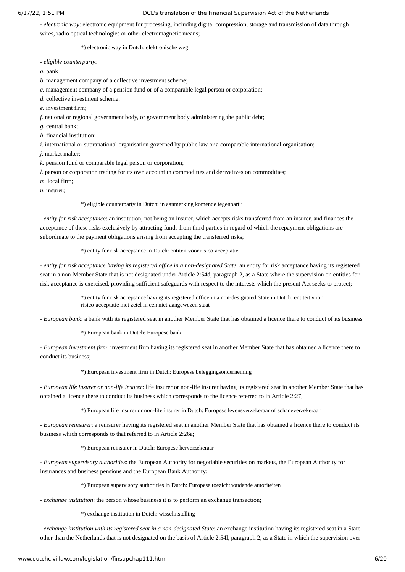*- electronic way*: electronic equipment for processing, including digital compression, storage and transmission of data through wires, radio optical technologies or other electromagnetic means;

\*) electronic way in Dutch: elektronische weg

*- eligible counterparty*:

*a.* bank

*b.* management company of a collective investment scheme;

*c.* management company of a pension fund or of a comparable legal person or corporation;

*d.* collective investment scheme:

*e.* investment firm;

*f.* national or regional government body, or government body administering the public debt;

*g.* central bank;

*h.* financial institution;

*i.* international or supranational organisation governed by public law or a comparable international organisation;

*j.* market maker;

*k.* pension fund or comparable legal person or corporation;

*l.* person or corporation trading for its own account in commodities and derivatives on commodities;

*m.* local firm;

*n.* insurer;

#### \*) eligible counterparty in Dutch: in aanmerking komende tegenpartij

*- entity for risk acceptance*: an institution, not being an insurer, which accepts risks transferred from an insurer, and finances the acceptance of these risks exclusively by attracting funds from third parties in regard of which the repayment obligations are subordinate to the payment obligations arising from accepting the transferred risks;

\*) entity for risk acceptance in Dutch: entiteit voor risico-acceptatie

*- entity for risk acceptance having its registered office in a non-designated State*: an entity for risk acceptance having its registered seat in a non-Member State that is not designated under Article 2:54d, paragraph 2, as a State where the supervision on entities for risk acceptance is exercised, providing sufficient safeguards with respect to the interests which the present Act seeks to protect;

> \*) entity for risk acceptance having its registered office in a non-designated State in Dutch: entiteit voor risico-acceptatie met zetel in een niet-aangewezen staat

*- European bank*: a bank with its registered seat in another Member State that has obtained a licence there to conduct of its business

\*) European bank in Dutch: Europese bank

*- European investment firm*: investment firm having its registered seat in another Member State that has obtained a licence there to conduct its business;

\*) European investment firm in Dutch: Europese beleggingsonderneming

*- European life insurer or non-life insurer*: life insurer or non-life insurer having its registered seat in another Member State that has obtained a licence there to conduct its business which corresponds to the licence referred to in Article 2:27;

\*) European life insurer or non-life insurer in Dutch: Europese levensverzekeraar of schadeverzekeraar

*- European reinsurer*: a reinsurer having its registered seat in another Member State that has obtained a licence there to conduct its business which corresponds to that referred to in Article 2:26a;

\*) European reinsurer in Dutch: Europese herverzekeraar

*- European supervisory authorities*: the European Authority for negotiable securities on markets, the European Authority for insurances and business pensions and the European Bank Authority;

\*) European supervisory authorities in Dutch: Europese toezichthoudende autoriteiten

*- exchange institution*: the person whose business it is to perform an exchange transaction;

\*) exchange institution in Dutch: wisselinstelling

*- exchange institution with its registered seat in a non-designated State*: an exchange institution having its registered seat in a State other than the Netherlands that is not designated on the basis of Article 2:54l, paragraph 2, as a State in which the supervision over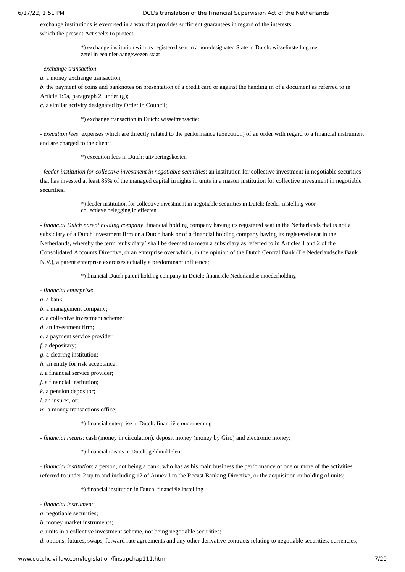exchange institutions is exercised in a way that provides sufficient guarantees in regard of the interests which the present Act seeks to protect

> \*) exchange institution with its registered seat in a non-designated State in Dutch: wisselinstelling met zetel in een niet-aangewezen staat

*- exchange transaction*:

*a.* a money exchange transaction;

*b.* the payment of coins and banknotes on presentation of a credit card or against the handing in of a document as referred to in Article 1:5a, paragraph 2, under (g);

*c.* a similar activity designated by Order in Council;

\*) exchange transaction in Dutch: wisseltransactie:

*- execution fees*: expenses which are directly related to the performance (execution) of an order with regard to a financial instrument and are charged to the client;

\*) execution fees in Dutch: uitvoeringskosten

*- feeder institution for collective investment in negotiable securities*: an institution for collective investment in negotiable securities that has invested at least 85% of the managed capital in rights in units in a master institution for collective investment in negotiable securities.

> \*) feeder institution for collective investment in negotiable securities in Dutch: feeder-instelling voor collectieve belegging in effecten

*- financial Dutch parent holding company*: financial holding company having its registered seat in the Netherlands that is not a subsidiary of a Dutch investment firm or a Dutch bank or of a financial holding company having its registered seat in the Netherlands, whereby the term 'subsidiary' shall be deemed to mean a subsidiary as referred to in Articles 1 and 2 of the Consolidated Accounts Directive, or an enterprise over which, in the opinion of the Dutch Central Bank (De Nederlandsche Bank N.V.), a parent enterprise exercises actually a predominant influence;

\*) financial Dutch parent holding company in Dutch: financiële Nederlandse moederholding

*- financial enterprise*:

*a.* a bank

*b.* a management company;

*c.* a collective investment scheme;

*d.* an investment firm;

*e.* a payment service provider

*f.* a depositary;

- *g.* a clearing institution;
- *h.* an entity for risk acceptance;
- *i.* a financial service provider;
- *j.* a financial institution;

*k.* a pension depositor;

*l.* an insurer, or;

*m.* a money transactions office;

\*) financial enterprise in Dutch: financiële onderneming

*- financial means*: cash (money in circulation), deposit money (money by Giro) and electronic money;

\*) financial means in Dutch: geldmiddelen

*- financial institution*: a person, not being a bank, who has as his main business the performance of one or more of the activities referred to under 2 up to and including 12 of Annex I to the Recast Banking Directive, or the acquisition or holding of units;

\*) financial institution in Dutch: financiële instelling

*- financial instrument*:

*a.* negotiable securities;

*b.* money market instruments;

*c.* units in a collective investment scheme, not being negotiable securities;

*d.* options, futures, swaps, forward rate agreements and any other derivative contracts relating to negotiable securities, currencies,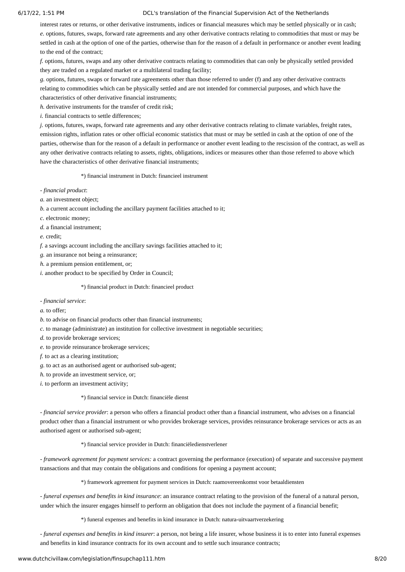interest rates or returns, or other derivative instruments, indices or financial measures which may be settled physically or in cash; *e.* options, futures, swaps, forward rate agreements and any other derivative contracts relating to commodities that must or may be settled in cash at the option of one of the parties, otherwise than for the reason of a default in performance or another event leading to the end of the contract;

*f.* options, futures, swaps and any other derivative contracts relating to commodities that can only be physically settled provided they are traded on a regulated market or a multilateral trading facility;

*g.* options, futures, swaps or forward rate agreements other than those referred to under (f) and any other derivative contracts relating to commodities which can be physically settled and are not intended for commercial purposes, and which have the characteristics of other derivative financial instruments;

*h.* derivative instruments for the transfer of credit risk;

*i.* financial contracts to settle differences;

*j.* options, futures, swaps, forward rate agreements and any other derivative contracts relating to climate variables, freight rates, emission rights, inflation rates or other official economic statistics that must or may be settled in cash at the option of one of the parties, otherwise than for the reason of a default in performance or another event leading to the rescission of the contract, as well as any other derivative contracts relating to assets, rights, obligations, indices or measures other than those referred to above which have the characteristics of other derivative financial instruments;

\*) financial instrument in Dutch: financieel instrument

*- financial product*:

*a.* an investment object;

*b.* a current account including the ancillary payment facilities attached to it;

*c.* electronic money;

*d.* a financial instrument;

*e.* credit;

*f.* a savings account including the ancillary savings facilities attached to it;

*g.* an insurance not being a reinsurance;

*h.* a premium pension entitlement, or;

*i.* another product to be specified by Order in Council;

\*) financial product in Dutch: financieel product

*- financial service*:

*a.* to offer;

*b.* to advise on financial products other than financial instruments;

*c.* to manage (administrate) an institution for collective investment in negotiable securities;

*d.* to provide brokerage services;

*e.* to provide reinsurance brokerage services;

*f.* to act as a clearing institution;

*g.* to act as an authorised agent or authorised sub-agent;

*h.* to provide an investment service, or;

*i.* to perform an investment activity;

\*) financial service in Dutch: financiële dienst

*- financial service provider*: a person who offers a financial product other than a financial instrument, who advises on a financial product other than a financial instrument or who provides brokerage services, provides reinsurance brokerage services or acts as an authorised agent or authorised sub-agent;

\*) financial service provider in Dutch: financiëledienstverlener

*- framework agreement for payment services:* a contract governing the performance (execution) of separate and successive payment transactions and that may contain the obligations and conditions for opening a payment account;

\*) framework agreement for payment services in Dutch: raamovereenkomst voor betaaldiensten

*- funeral expenses and benefits in kind insurance*: an insurance contract relating to the provision of the funeral of a natural person, under which the insurer engages himself to perform an obligation that does not include the payment of a financial benefit;

\*) funeral expenses and benefits in kind insurance in Dutch: natura-uitvaartverzekering

*- funeral expenses and benefits in kind insurer*: a person, not being a life insurer, whose business it is to enter into funeral expenses and benefits in kind insurance contracts for its own account and to settle such insurance contracts;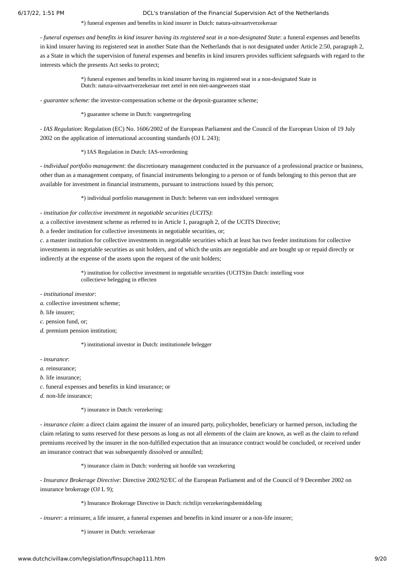\*) funeral expenses and benefits in kind insurer in Dutch: natura-uitvaartverzekeraar

*- funeral expenses and benefits in kind insurer having its registered seat in a non-designated State*: a funeral expenses and benefits in kind insurer having its registered seat in another State than the Netherlands that is not designated under Article 2:50, paragraph 2, as a State in which the supervision of funeral expenses and benefits in kind insurers provides sufficient safeguards with regard to the interests which the presents Act seeks to protect;

> \*) funeral expenses and benefits in kind insurer having its registered seat in a non-designated State in Dutch: natura-uitvaartverzekeraar met zetel in een niet-aangewezen staat

*- guarantee scheme*: the investor-compensation scheme or the deposit-guarantee scheme;

\*) guarantee scheme in Dutch: vangnetregeling

*- IAS Regulation*: Regulation (EC) No. 1606/2002 of the European Parliament and the Council of the European Union of 19 July 2002 on the application of international accounting standards (OJ L 243);

\*) IAS Regulation in Dutch: IAS-verordening

*- individual portfolio management*: the discretionary management conducted in the pursuance of a professional practice or business, other than as a management company, of financial instruments belonging to a person or of funds belonging to this person that are available for investment in financial instruments, pursuant to instructions issued by this person;

\*) individual portfolio management in Dutch: beheren van een individueel vermogen

*- institution for collective investment in negotiable securities (UCITS)*:

*a.* a collective investment scheme as referred to in Article 1, paragraph 2, of the UCITS Directive;

*b.* a feeder institution for collective investments in negotiable securities, or;

*c.* a master institution for collective investments in negotiable securities which at least has two feeder institutions for collective investments in negotiable securities as unit holders, and of which the units are negotiable and are bought up or repaid directly or indirectly at the expense of the assets upon the request of the unit holders;

> \*) institution for collective investment in negotiable securities (UCITS)in Dutch: instelling voor collectieve belegging in effecten

*- institutional investor*:

- *a.* collective investment scheme;
- *b.* life insurer;

*c.* pension fund, or;

*d.* premium pension institution;

\*) institutional investor in Dutch: institutionele belegger

*- insurance*:

*a.* reinsurance;

- *b.* life insurance;
- *c.* funeral expenses and benefits in kind insurance; or

*d.* non-life insurance;

\*) insurance in Dutch: verzekering:

*- insurance claim*: a direct claim against the insurer of an insured party, policyholder, beneficiary or harmed person, including the claim relating to sums reserved for these persons as long as not all elements of the claim are known, as well as the claim to refund premiums received by the insurer in the non-fulfilled expectation that an insurance contract would be concluded, or received under an insurance contract that was subsequently dissolved or annulled:

\*) insurance claim in Dutch: vordering uit hoofde van verzekering

*- Insurance Brokerage Directive*: Directive 2002/92/EC of the European Parliament and of the Council of 9 December 2002 on insurance brokerage (OJ L 9);

\*) Insurance Brokerage Directive in Dutch: richtlijn verzekeringsbemiddeling

*- insurer*: a reinsurer, a life insurer, a funeral expenses and benefits in kind insurer or a non-life insurer;

\*) insurer in Dutch: verzekeraar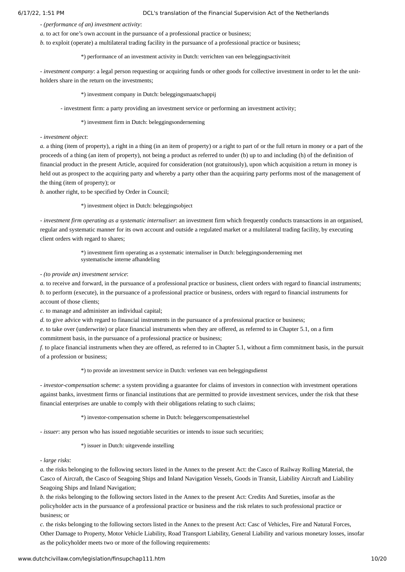## *- (performance of an) investment activity*:

*a.* to act for one's own account in the pursuance of a professional practice or business;

*b.* to exploit (operate) a multilateral trading facility in the pursuance of a professional practice or business;

\*) performance of an investment activity in Dutch: verrichten van een beleggingsactiviteit

*- investment company*: a legal person requesting or acquiring funds or other goods for collective investment in order to let the unitholders share in the return on the investments;

\*) investment company in Dutch: beleggingsmaatschappij

- investment firm: a party providing an investment service or performing an investment activity;

\*) investment firm in Dutch: beleggingsonderneming

*- investment object*:

*a.* a thing (item of property), a right in a thing (in an item of property) or a right to part of or the full return in money or a part of the proceeds of a thing (an item of property), not being a product as referred to under (b) up to and including (h) of the definition of financial product in the present Article, acquired for consideration (not gratuitously), upon which acquisition a return in money is held out as prospect to the acquiring party and whereby a party other than the acquiring party performs most of the management of the thing (item of property); or

*b.* another right, to be specified by Order in Council;

\*) investment object in Dutch: beleggingsobject

*- investment firm operating as a systematic internaliser*: an investment firm which frequently conducts transactions in an organised, regular and systematic manner for its own account and outside a regulated market or a multilateral trading facility, by executing client orders with regard to shares;

> \*) investment firm operating as a systematic internaliser in Dutch: beleggingsonderneming met systematische interne afhandeling

*- (to provide an) investment service*:

*a.* to receive and forward, in the pursuance of a professional practice or business, client orders with regard to financial instruments; *b.* to perform (execute), in the pursuance of a professional practice or business, orders with regard to financial instruments for account of those clients;

*c.* to manage and administer an individual capital;

*d.* to give advice with regard to financial instruments in the pursuance of a professional practice or business;

*e.* to take over (underwrite) or place financial instruments when they are offered, as referred to in Chapter 5.1, on a firm

commitment basis, in the pursuance of a professional practice or business;

*f.* to place financial instruments when they are offered, as referred to in Chapter 5.1, without a firm commitment basis, in the pursuit of a profession or business;

\*) to provide an investment service in Dutch: verlenen van een beleggingsdienst

*- investor-compensation scheme*: a system providing a guarantee for claims of investors in connection with investment operations against banks, investment firms or financial institutions that are permitted to provide investment services, under the risk that these financial enterprises are unable to comply with their obligations relating to such claims;

\*) investor-compensation scheme in Dutch: beleggerscompensatiestelsel

*-* issuer: any person who has issued negotiable securities or intends to issue such securities;

\*) issuer in Dutch: uitgevende instelling

## *- large risks*:

*a.* the risks belonging to the following sectors listed in the Annex to the present Act: the Casco of Railway Rolling Material, the Casco of Aircraft, the Casco of Seagoing Ships and Inland Navigation Vessels, Goods in Transit, Liability Aircraft and Liability Seagoing Ships and Inland Navigation;

*b.* the risks belonging to the following sectors listed in the Annex to the present Act: Credits And Sureties, insofar as the policyholder acts in the pursuance of a professional practice or business and the risk relates to such professional practice or business; or

*c.* the risks belonging to the following sectors listed in the Annex to the present Act: Casc of Vehicles, Fire and Natural Forces, Other Damage to Property, Motor Vehicle Liability, Road Transport Liability, General Liability and various monetary losses, insofar as the policyholder meets two or more of the following requirements: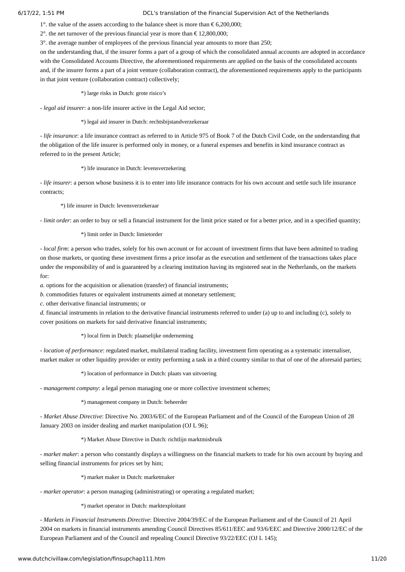1°. the value of the assets according to the balance sheet is more than  $\epsilon$  6,200,000;

2°. the net turnover of the previous financial year is more than € 12,800,000;

3°. the average number of employees of the previous financial year amounts to more than 250;

on the understanding that, if the insurer forms a part of a group of which the consolidated annual accounts are adopted in accordance with the Consolidated Accounts Directive, the aforementioned requirements are applied on the basis of the consolidated accounts and, if the insurer forms a part of a joint venture (collaboration contract), the aforementioned requirements apply to the participants in that joint venture (collaboration contract) collectively;

\*) large risks in Dutch: grote risico's

*- legal aid insurer*: a non-life insurer active in the Legal Aid sector;

\*) legal aid insurer in Dutch: rechtsbijstandverzekeraar

*- life insurance*: a life insurance contract as referred to in Article 975 of Book 7 of the Dutch Civil Code, on the understanding that the obligation of the life insurer is performed only in money, or a funeral expenses and benefits in kind insurance contract as referred to in the present Article;

\*) life insurance in Dutch: levensverzekering

*- life insurer*: a person whose business it is to enter into life insurance contracts for his own account and settle such life insurance contracts;

\*) life insurer in Dutch: levensverzekeraar

*- limit order*: an order to buy or sell a financial instrument for the limit price stated or for a better price, and in a specified quantity;

\*) limit order in Dutch: limietorder

*- local firm*: a person who trades, solely for his own account or for account of investment firms that have been admitted to trading on those markets, or quoting these investment firms a price insofar as the execution and settlement of the transactions takes place under the responsibility of and is guaranteed by a clearing institution having its registered seat in the Netherlands, on the markets for:

*a.* options for the acquisition or alienation (transfer) of financial instruments;

*b.* commodities futures or equivalent instruments aimed at monetary settlement;

*c.* other derivative financial instruments; or

*d.* financial instruments in relation to the derivative financial instruments referred to under (a) up to and including (c), solely to cover positions on markets for said derivative financial instruments;

\*) local firm in Dutch: plaatselijke onderneming

*- location of performance*: regulated market, multilateral trading facility, investment firm operating as a systematic internaliser, market maker or other liquidity provider or entity performing a task in a third country similar to that of one of the aforesaid parties;

\*) location of performance in Dutch: plaats van uitvoering

*- management company*: a legal person managing one or more collective investment schemes;

\*) management company in Dutch: beheerder

*- Market Abuse Directive*: Directive No. 2003/6/EC of the European Parliament and of the Council of the European Union of 28 January 2003 on insider dealing and market manipulation (OJ L 96);

## \*) Market Abuse Directive in Dutch: richtlijn marktmisbruik

*- market maker*: a person who constantly displays a willingness on the financial markets to trade for his own account by buying and selling financial instruments for prices set by him;

\*) market maker in Dutch: marketmaker

*- market operator*: a person managing (administrating) or operating a regulated market;

\*) market operator in Dutch: marktexploitant

*- Markets in Financial Instruments Directive*: Directive 2004/39/EC of the European Parliament and of the Council of 21 April 2004 on markets in financial instruments amending Council Directives 85/611/EEC and 93/6/EEC and Directive 2000/12/EC of the European Parliament and of the Council and repealing Council Directive 93/22/EEC (OJ L 145);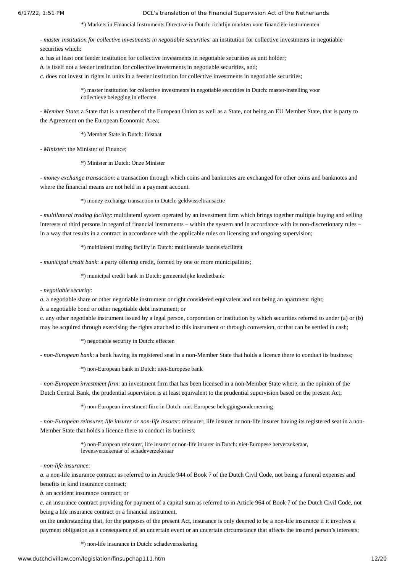\*) Markets in Financial Instruments Directive in Dutch: richtlijn markten voor financiële instrumenten

*- master institution for collective investments in negotiable securities*: an institution for collective investments in negotiable securities which:

*a.* has at least one feeder institution for collective investments in negotiable securities as unit holder;

*b.* is itself not a feeder institution for collective investments in negotiable securities, and;

*c.* does not invest in rights in units in a feeder institution for collective investments in negotiable securities;

\*) master institution for collective investments in negotiable securities in Dutch: master-instelling voor collectieve belegging in effecten

*- Member State*: a State that is a member of the European Union as well as a State, not being an EU Member State, that is party to the Agreement on the European Economic Area;

\*) Member State in Dutch: lidstaat

*- Minister*: the Minister of Finance;

\*) Minister in Dutch: Onze Minister

*- money exchange transaction*: a transaction through which coins and banknotes are exchanged for other coins and banknotes and where the financial means are not held in a payment account.

\*) money exchange transaction in Dutch: geldwisseltransactie

*- multilateral trading facility*: multilateral system operated by an investment firm which brings together multiple buying and selling interests of third persons in regard of financial instruments – within the system and in accordance with its non-discretionary rules – in a way that results in a contract in accordance with the applicable rules on licensing and ongoing supervision;

\*) multilateral trading facility in Dutch: multilaterale handelsfaciliteit

*- municipal credit bank*: a party offering credit, formed by one or more municipalities;

\*) municipal credit bank in Dutch: gemeentelijke kredietbank

*- negotiable security*:

*a.* a negotiable share or other negotiable instrument or right considered equivalent and not being an apartment right;

*b.* a negotiable bond or other negotiable debt instrument; or

c. any other negotiable instrument issued by a legal person, corporation or institution by which securities referred to under (a) or (b) may be acquired through exercising the rights attached to this instrument or through conversion, or that can be settled in cash;

\*) negotiable security in Dutch: effecten

*- non-European bank*: a bank having its registered seat in a non-Member State that holds a licence there to conduct its business;

\*) non-European bank in Dutch: niet-Europese bank

*- non-European investment firm*: an investment firm that has been licensed in a non-Member State where, in the opinion of the Dutch Central Bank, the prudential supervision is at least equivalent to the prudential supervision based on the present Act;

\*) non-European investment firm in Dutch: niet-Europese beleggingsonderneming

*- non-European reinsurer, life insurer or non-life insurer*: reinsurer, life insurer or non-life insurer having its registered seat in a non-Member State that holds a licence there to conduct its business;

> \*) non-European reinsurer, life insurer or non-life insurer in Dutch: niet-Europese herverzekeraar, levensverzekeraar of schadeverzekeraar

*- non-life insurance*:

*a.* a non-life insurance contract as referred to in Article 944 of Book 7 of the Dutch Civil Code, not being a funeral expenses and benefits in kind insurance contract;

*b.* an accident insurance contract; or

*c.* an insurance contract providing for payment of a capital sum as referred to in Article 964 of Book 7 of the Dutch Civil Code, not being a life insurance contract or a financial instrument,

on the understanding that, for the purposes of the present Act, insurance is only deemed to be a non-life insurance if it involves a payment obligation as a consequence of an uncertain event or an uncertain circumstance that affects the insured person's interests;

\*) non-life insurance in Dutch: schadeverzekering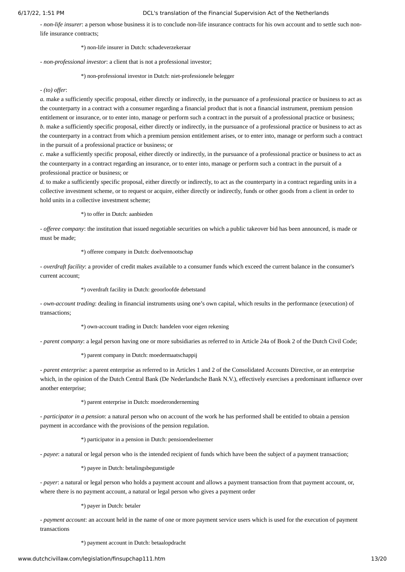*- non-life insurer*: a person whose business it is to conclude non-life insurance contracts for his own account and to settle such nonlife insurance contracts;

\*) non-life insurer in Dutch: schadeverzekeraar

*- non-professional investor*: a client that is not a professional investor;

\*) non-professional investor in Dutch: niet-professionele belegger

### *- (to) offer*:

*a.* make a sufficiently specific proposal, either directly or indirectly, in the pursuance of a professional practice or business to act as the counterparty in a contract with a consumer regarding a financial product that is not a financial instrument, premium pension entitlement or insurance, or to enter into, manage or perform such a contract in the pursuit of a professional practice or business; *b.* make a sufficiently specific proposal, either directly or indirectly, in the pursuance of a professional practice or business to act as the counterparty in a contract from which a premium pension entitlement arises, or to enter into, manage or perform such a contract in the pursuit of a professional practice or business; or

*c.* make a sufficiently specific proposal, either directly or indirectly, in the pursuance of a professional practice or business to act as the counterparty in a contract regarding an insurance, or to enter into, manage or perform such a contract in the pursuit of a professional practice or business; or

*d.* to make a sufficiently specific proposal, either directly or indirectly, to act as the counterparty in a contract regarding units in a collective investment scheme, or to request or acquire, either directly or indirectly, funds or other goods from a client in order to hold units in a collective investment scheme;

\*) to offer in Dutch: aanbieden

*- offeree company*: the institution that issued negotiable securities on which a public takeover bid has been announced, is made or must be made;

\*) offeree company in Dutch: doelvennootschap

*- overdraft facility*: a provider of credit makes available to a consumer funds which exceed the current balance in the consumer's current account;

\*) overdraft facility in Dutch: geoorloofde debetstand

*- own-account trading*: dealing in financial instruments using one's own capital, which results in the performance (execution) of transactions;

\*) own-account trading in Dutch: handelen voor eigen rekening

*- parent company*: a legal person having one or more subsidiaries as referred to in Article 24a of Book 2 of the Dutch Civil Code;

\*) parent company in Dutch: moedermaatschappij

*- parent enterprise*: a parent enterprise as referred to in Articles 1 and 2 of the Consolidated Accounts Directive, or an enterprise which, in the opinion of the Dutch Central Bank (De Nederlandsche Bank N.V.), effectively exercises a predominant influence over another enterprise;

#### \*) parent enterprise in Dutch: moederonderneming

*- participator in a pension*: a natural person who on account of the work he has performed shall be entitled to obtain a pension payment in accordance with the provisions of the pension regulation.

\*) participator in a pension in Dutch: pensioendeelnemer

*- payee*: a natural or legal person who is the intended recipient of funds which have been the subject of a payment transaction;

\*) payee in Dutch: betalingsbegunstigde

*- payer*: a natural or legal person who holds a payment account and allows a payment transaction from that payment account, or, where there is no payment account, a natural or legal person who gives a payment order

\*) payer in Dutch: betaler

*- payment account*: an account held in the name of one or more payment service users which is used for the execution of payment transactions

\*) payment account in Dutch: betaalopdracht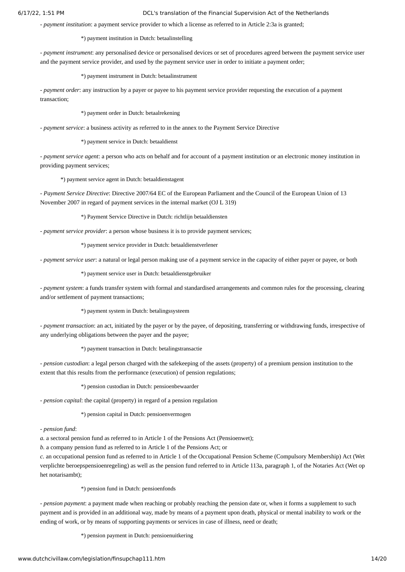*- payment institution*: a payment service provider to which a license as referred to in Article 2:3a is granted;

\*) payment institution in Dutch: betaalinstelling

*- payment instrument*: any personalised device or personalised devices or set of procedures agreed between the payment service user and the payment service provider, and used by the payment service user in order to initiate a payment order;

\*) payment instrument in Dutch: betaalinstrument

*- payment order*: any instruction by a payer or payee to his payment service provider requesting the execution of a payment transaction;

\*) payment order in Dutch: betaalrekening

*- payment service*: a business activity as referred to in the annex to the Payment Service Directive

\*) payment service in Dutch: betaaldienst

*- payment service agent*: a person who acts on behalf and for account of a payment institution or an electronic money institution in providing payment services;

\*) payment service agent in Dutch: betaaldienstagent

*- Payment Service Directive*: Directive 2007/64 EC of the European Parliament and the Council of the European Union of 13 November 2007 in regard of payment services in the internal market (OJ L 319)

\*) Payment Service Directive in Dutch: richtlijn betaaldiensten

*- payment service provider*: a person whose business it is to provide payment services;

\*) payment service provider in Dutch: betaaldienstverlener

*- payment service user*: a natural or legal person making use of a payment service in the capacity of either payer or payee, or both

\*) payment service user in Dutch: betaaldienstgebruiker

*- payment system*: a funds transfer system with formal and standardised arrangements and common rules for the processing, clearing and/or settlement of payment transactions;

\*) payment system in Dutch: betalingssysteem

*- payment transaction*: an act, initiated by the payer or by the payee, of depositing, transferring or withdrawing funds, irrespective of any underlying obligations between the payer and the payee;

\*) payment transaction in Dutch: betalingstransactie

*- pension custodian*: a legal person charged with the safekeeping of the assets (property) of a premium pension institution to the extent that this results from the performance (execution) of pension regulations;

\*) pension custodian in Dutch: pensioenbewaarder

*- pension capital*: the capital (property) in regard of a pension regulation

\*) pension capital in Dutch: pensioenvermogen

*- pension fund*:

*a.* a sectoral pension fund as referred to in Article 1 of the Pensions Act (Pensioenwet);

*b.* a company pension fund as referred to in Article 1 of the Pensions Act; or

*c.* an occupational pension fund as referred to in Article 1 of the Occupational Pension Scheme (Compulsory Membership) Act (Wet verplichte beroepspensioenregeling) as well as the pension fund referred to in Article 113a, paragraph 1, of the Notaries Act (Wet op het notarisambt);

\*) pension fund in Dutch: pensioenfonds

*- pension payment*: a payment made when reaching or probably reaching the pension date or, when it forms a supplement to such payment and is provided in an additional way, made by means of a payment upon death, physical or mental inability to work or the ending of work, or by means of supporting payments or services in case of illness, need or death;

\*) pension payment in Dutch: pensioenuitkering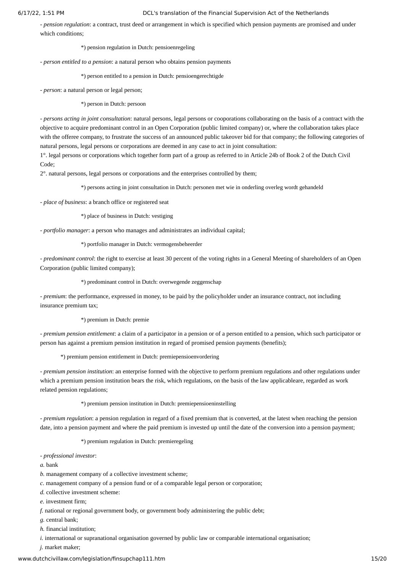*- pension regulation*: a contract, trust deed or arrangement in which is specified which pension payments are promised and under which conditions;

\*) pension regulation in Dutch: pensioenregeling

*- person entitled to a pension*: a natural person who obtains pension payments

\*) person entitled to a pension in Dutch: pensioengerechtigde

*- person*: a natural person or legal person;

\*) person in Dutch: persoon

*- persons acting in joint consultation*: natural persons, legal persons or cooporations collaborating on the basis of a contract with the objective to acquire predominant control in an Open Corporation (public limited company) or, where the collaboration takes place with the offeree company, to frustrate the success of an announced public takeover bid for that company; the following categories of natural persons, legal persons or corporations are deemed in any case to act in joint consultation:

1°. legal persons or corporations which together form part of a group as referred to in Article 24b of Book 2 of the Dutch Civil Code;

2°. natural persons, legal persons or corporations and the enterprises controlled by them;

\*) persons acting in joint consultation in Dutch: personen met wie in onderling overleg wordt gehandeld

*- place of business*: a branch office or registered seat

\*) place of business in Dutch: vestiging

*- portfolio manager*: a person who manages and administrates an individual capital;

\*) portfolio manager in Dutch: vermogensbeheerder

*- predominant control*: the right to exercise at least 30 percent of the voting rights in a General Meeting of shareholders of an Open Corporation (public limited company);

\*) predominant control in Dutch: overwegende zeggenschap

*- premium*: the performance, expressed in money, to be paid by the policyholder under an insurance contract, not including insurance premium tax;

\*) premium in Dutch: premie

*- premium pension entitlement*: a claim of a participator in a pension or of a person entitled to a pension, which such participator or person has against a premium pension institution in regard of promised pension payments (benefits);

\*) premium pension entitlement in Dutch: premiepensioenvordering

*- premium pension institution*: an enterprise formed with the objective to perform premium regulations and other regulations under which a premium pension institution bears the risk, which regulations, on the basis of the law applicableare, regarded as work related pension regulations;

\*) premium pension institution in Dutch: premiepensioeninstelling

*- premium regulation*: a pension regulation in regard of a fixed premium that is converted, at the latest when reaching the pension date, into a pension payment and where the paid premium is invested up until the date of the conversion into a pension payment;

\*) premium regulation in Dutch: premieregeling

*- professional investor*:

*a.* bank

- *b.* management company of a collective investment scheme;
- *c.* management company of a pension fund or of a comparable legal person or corporation;
- *d.* collective investment scheme:

*e.* investment firm;

*f.* national or regional government body, or government body administering the public debt;

*g.* central bank;

*h.* financial institution;

*i.* international or supranational organisation governed by public law or comparable international organisation;

*j.* market maker;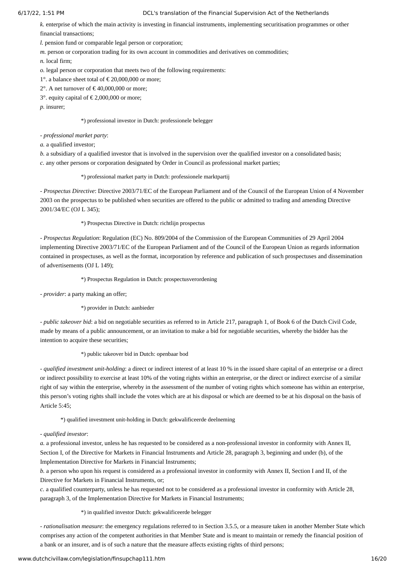*k.* enterprise of which the main activity is investing in financial instruments, implementing securitisation programmes or other financial transactions;

*l.* pension fund or comparable legal person or corporation;

*m.* person or corporation trading for its own account in commodities and derivatives on commodities;

*n.* local firm;

*o.* legal person or corporation that meets two of the following requirements:

1°. a balance sheet total of  $\epsilon$  20,000,000 or more;

2°. A net turnover of  $\epsilon$  40,000,000 or more;

3°. equity capital of  $\epsilon$  2,000,000 or more;

*p.* insurer;

# \*) professional investor in Dutch: professionele belegger

*- professional market party*:

*a.* a qualified investor;

*b.* a subsidiary of a qualified investor that is involved in the supervision over the qualified investor on a consolidated basis; *c.* any other persons or corporation designated by Order in Council as professional market parties;

# \*) professional market party in Dutch: professionele marktpartij

*- Prospectus Directive*: Directive 2003/71/EC of the European Parliament and of the Council of the European Union of 4 November 2003 on the prospectus to be published when securities are offered to the public or admitted to trading and amending Directive 2001/34/EC (OJ L 345);

# \*) Prospectus Directive in Dutch: richtlijn prospectus

*- Prospectus Regulation*: Regulation (EC) No. 809/2004 of the Commission of the European Communities of 29 April 2004 implementing Directive 2003/71/EC of the European Parliament and of the Council of the European Union as regards information contained in prospectuses, as well as the format, incorporation by reference and publication of such prospectuses and dissemination of advertisements (OJ L 149);

\*) Prospectus Regulation in Dutch: prospectusverordening

*- provider*: a party making an offer;

\*) provider in Dutch: aanbieder

*- public takeover bid*: a bid on negotiable securities as referred to in Article 217, paragraph 1, of Book 6 of the Dutch Civil Code, made by means of a public announcement, or an invitation to make a bid for negotiable securities, whereby the bidder has the intention to acquire these securities;

# \*) public takeover bid in Dutch: openbaar bod

*- qualified investment unit-holding*: a direct or indirect interest of at least 10 % in the issued share capital of an enterprise or a direct or indirect possibility to exercise at least 10% of the voting rights within an enterprise, or the direct or indirect exercise of a similar right of say within the enterprise, whereby in the assessment of the number of voting rights which someone has within an enterprise, this person's voting rights shall include the votes which are at his disposal or which are deemed to be at his disposal on the basis of Article 5:45;

\*) qualified investment unit-holding in Dutch: gekwalificeerde deelneming

*- qualified investor*:

*a.* a professional investor, unless he has requested to be considered as a non-professional investor in conformity with Annex II, Section I, of the Directive for Markets in Financial Instruments and Article 28, paragraph 3, beginning and under (b), of the Implementation Directive for Markets in Financial Instruments;

*b.* a person who upon his request is considered as a professional investor in conformity with Annex II, Section I and II, of the Directive for Markets in Financial Instruments, or;

*c.* a qualified counterparty, unless he has requested not to be considered as a professional investor in conformity with Article 28, paragraph 3, of the Implementation Directive for Markets in Financial Instruments;

# \*) in qualified investor Dutch: gekwalificeerde belegger

*- rationalisation measure*: the emergency regulations referred to in Section 3.5.5, or a measure taken in another Member State which comprises any action of the competent authorities in that Member State and is meant to maintain or remedy the financial position of a bank or an insurer, and is of such a nature that the measure affects existing rights of third persons;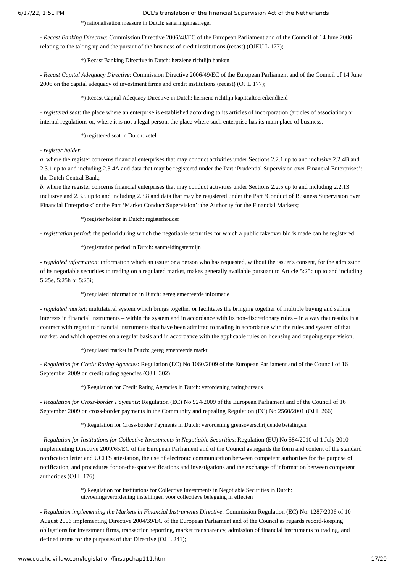\*) rationalisation measure in Dutch: saneringsmaatregel

*- Recast Banking Directive*: Commission Directive 2006/48/EC of the European Parliament and of the Council of 14 June 2006 relating to the taking up and the pursuit of the business of credit institutions (recast) (OJEU L 177);

\*) Recast Banking Directive in Dutch: herziene richtlijn banken

*- Recast Capital Adequacy Directive*: Commission Directive 2006/49/EC of the European Parliament and of the Council of 14 June 2006 on the capital adequacy of investment firms and credit institutions (recast) (OJ L 177);

\*) Recast Capital Adequacy Directive in Dutch: herziene richtlijn kapitaaltoereikendheid

*- registered seat*: the place where an enterprise is established according to its articles of incorporation (articles of association) or internal regulations or, where it is not a legal person, the place where such enterprise has its main place of business.

\*) registered seat in Dutch: zetel

### *- register holder*:

*a.* where the register concerns financial enterprises that may conduct activities under Sections 2.2.1 up to and inclusive 2.2.4B and 2.3.1 up to and including 2.3.4A and data that may be registered under the Part 'Prudential Supervision over Financial Enterprises': the Dutch Central Bank;

*b.* where the register concerns financial enterprises that may conduct activities under Sections 2.2.5 up to and including 2.2.13 inclusive and 2.3.5 up to and including 2.3.8 and data that may be registered under the Part 'Conduct of Business Supervision over Financial Enterprises' or the Part 'Market Conduct Supervision': the Authority for the Financial Markets;

\*) register holder in Dutch: registerhouder

- *registration period*: the period during which the negotiable securities for which a public takeover bid is made can be registered;

\*) registration period in Dutch: aanmeldingstermijn

*- regulated information*: information which an issuer or a person who has requested, without the issuer's consent, for the admission of its negotiable securities to trading on a regulated market, makes generally available pursuant to Article 5:25c up to and including 5:25e, 5:25h or 5:25i;

\*) regulated information in Dutch: gereglementeerde informatie

*- regulated market*: multilateral system which brings together or facilitates the bringing together of multiple buying and selling interests in financial instruments – within the system and in accordance with its non-discretionary rules – in a way that results in a contract with regard to financial instruments that have been admitted to trading in accordance with the rules and system of that market, and which operates on a regular basis and in accordance with the applicable rules on licensing and ongoing supervision;

\*) regulated market in Dutch: gereglementeerde markt

*- Regulation for Credit Rating Agencies*: Regulation (EC) No 1060/2009 of the European Parliament and of the Council of 16 September 2009 on credit rating agencies (OJ L 302)

\*) Regulation for Credit Rating Agencies in Dutch: verordening ratingbureaus

*- Regulation for Cross-border Payments*: Regulation (EC) No 924/2009 of the European Parliament and of the Council of 16 September 2009 on cross-border payments in the Community and repealing Regulation (EC) No 2560/2001 (OJ L 266)

\*) Regulation for Cross-border Payments in Dutch: verordening grensoverschrijdende betalingen

*- Regulation for Institutions for Collective Investments in Negotiable Securities*: Regulation (EU) No 584/2010 of 1 July 2010 implementing Directive 2009/65/EC of the European Parliament and of the Council as regards the form and content of the standard notification letter and UCITS attestation, the use of electronic communication between competent authorities for the purpose of notification, and procedures for on-the-spot verifications and investigations and the exchange of information between competent authorities (OJ L 176)

> \*) Regulation for Institutions for Collective Investments in Negotiable Securities in Dutch: uitvoeringsverordening instellingen voor collectieve belegging in effecten

*- Regulation implementing the Markets in Financial Instruments Directive*: Commission Regulation (EC) No. 1287/2006 of 10 August 2006 implementing Directive 2004/39/EC of the European Parliament and of the Council as regards record-keeping obligations for investment firms, transaction reporting, market transparency, admission of financial instruments to trading, and defined terms for the purposes of that Directive (OJ L 241);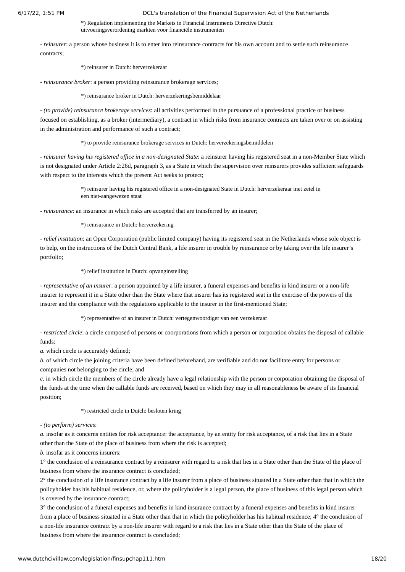\*) Regulation implementing the Markets in Financial Instruments Directive Dutch: uitvoeringsverordening markten voor financiële instrumenten

*- reinsurer*: a person whose business it is to enter into reinsurance contracts for his own account and to settle such reinsurance contracts;

#### \*) reinsurer in Dutch: herverzekeraar

*- reinsurance broker*: a person providing reinsurance brokerage services;

\*) reinsurance broker in Dutch: herverzekeringsbemiddelaar

- *(to provide) reinsurance brokerage services*: all activities performed in the pursuance of a professional practice or business focused on establishing, as a broker (intermediary), a contract in which risks from insurance contracts are taken over or on assisting in the administration and performance of such a contract;

\*) to provide reinsurance brokerage services in Dutch: herverzekeringsbemiddelen

*- reinsurer having his registered office in a non-designated State*: a reinsurer having his registered seat in a non-Member State which is not designated under Article 2:26d, paragraph 3, as a State in which the supervision over reinsurers provides sufficient safeguards with respect to the interests which the present Act seeks to protect;

> \*) reinsurer having his registered office in a non-designated State in Dutch: herverzekeraar met zetel in een niet-aangewezen staat

*- reinsurance*: an insurance in which risks are accepted that are transferred by an insurer;

#### \*) reinsurance in Dutch: herverzekering

*- relief institution*: an Open Corporation (public limited company) having its registered seat in the Netherlands whose sole object is to help, on the instructions of the Dutch Central Bank, a life insurer in trouble by reinsurance or by taking over the life insurer's portfolio;

\*) relief institution in Dutch: opvanginstelling

*- representative of an insurer*: a person appointed by a life insurer, a funeral expenses and benefits in kind insurer or a non-life insurer to represent it in a State other than the State where that insurer has its registered seat in the exercise of the powers of the insurer and the compliance with the regulations applicable to the insurer in the first-mentioned State;

\*) representative of an insurer in Dutch: vertegenwoordiger van een verzekeraar

*- restricted circle*: a circle composed of persons or coorporations from which a person or corporation obtains the disposal of callable funds:

*a.* which circle is accurately defined;

*b.* of which circle the joining criteria have been defined beforehand, are verifiable and do not facilitate entry for persons or companies not belonging to the circle; and

*c.* in which circle the members of the circle already have a legal relationship with the person or corporation obtaining the disposal of the funds at the time when the callable funds are received, based on which they may in all reasonableness be aware of its financial position;

\*) restricted circle in Dutch: besloten kring

*- (to perform) services*:

*a.* insofar as it concerns entities for risk acceptance: the acceptance, by an entity for risk acceptance, of a risk that lies in a State other than the State of the place of business from where the risk is accepted;

*b.* insofar as it concerns insurers:

1° the conclusion of a reinsurance contract by a reinsurer with regard to a risk that lies in a State other than the State of the place of business from where the insurance contract is concluded;

2° the conclusion of a life insurance contract by a life insurer from a place of business situated in a State other than that in which the policyholder has his habitual residence, or, where the policyholder is a legal person, the place of business of this legal person which is covered by the insurance contract;

3° the conclusion of a funeral expenses and benefits in kind insurance contract by a funeral expenses and benefits in kind insurer from a place of business situated in a State other than that in which the policyholder has his habitual residence; 4° the conclusion of a non-life insurance contract by a non-life insurer with regard to a risk that lies in a State other than the State of the place of business from where the insurance contract is concluded;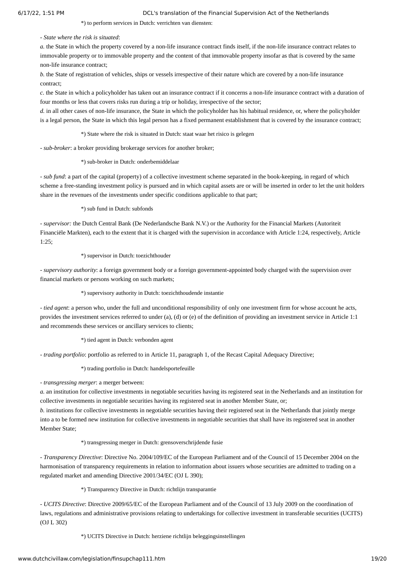\*) to perform services in Dutch: verrichten van diensten:

*- State where the risk is situated*:

*a.* the State in which the property covered by a non-life insurance contract finds itself, if the non-life insurance contract relates to immovable property or to immovable property and the content of that immovable property insofar as that is covered by the same non-life insurance contract;

*b.* the State of registration of vehicles, ships or vessels irrespective of their nature which are covered by a non-life insurance contract;

*c.* the State in which a policyholder has taken out an insurance contract if it concerns a non-life insurance contract with a duration of four months or less that covers risks run during a trip or holiday, irrespective of the sector;

*d.* in all other cases of non-life insurance, the State in which the policyholder has his habitual residence, or, where the policyholder is a legal person, the State in which this legal person has a fixed permanent establishment that is covered by the insurance contract;

\*) State where the risk is situated in Dutch: staat waar het risico is gelegen

*- sub-broker*: a broker providing brokerage services for another broker;

\*) sub-broker in Dutch: onderbemiddelaar

*- sub fund*: a part of the capital (property) of a collective investment scheme separated in the book-keeping, in regard of which scheme a free-standing investment policy is pursued and in which capital assets are or will be inserted in order to let the unit holders share in the revenues of the investments under specific conditions applicable to that part;

\*) sub fund in Dutch: subfonds

*- supervisor:* the Dutch Central Bank (De Nederlandsche Bank N.V.) or the Authority for the Financial Markets (Autoriteit Financiële Markten), each to the extent that it is charged with the supervision in accordance with Article 1:24, respectively, Article 1:25;

\*) supervisor in Dutch: toezichthouder

*- supervisory authority*: a foreign government body or a foreign government-appointed body charged with the supervision over financial markets or persons working on such markets;

\*) supervisory authority in Dutch: toezichthoudende instantie

*- tied agent*: a person who, under the full and unconditional responsibility of only one investment firm for whose account he acts, provides the investment services referred to under (a), (d) or (e) of the definition of providing an investment service in Article 1:1 and recommends these services or ancillary services to clients;

\*) tied agent in Dutch: verbonden agent

*- trading portfolio*: portfolio as referred to in Article 11, paragraph 1, of the Recast Capital Adequacy Directive;

\*) trading portfolio in Dutch: handelsportefeuille

*- transgressing merger*: a merger between:

*a.* an institution for collective investments in negotiable securities having its registered seat in the Netherlands and an institution for collective investments in negotiable securities having its registered seat in another Member State, or;

*b.* institutions for collective investments in negotiable securities having their registered seat in the Netherlands that jointly merge into a to be formed new institution for collective investments in negotiable securities that shall have its registered seat in another Member State;

\*) transgressing merger in Dutch: grensoverschrijdende fusie

*- Transparency Directive*: Directive No. 2004/109/EC of the European Parliament and of the Council of 15 December 2004 on the harmonisation of transparency requirements in relation to information about issuers whose securities are admitted to trading on a regulated market and amending Directive 2001/34/EC (OJ L 390);

\*) Transparency Directive in Dutch: richtlijn transparantie

*- UCITS Directive*: Directive 2009/65/EC of the European Parliament and of the Council of 13 July 2009 on the coordination of laws, regulations and administrative provisions relating to undertakings for collective investment in transferable securities (UCITS) (OJ L 302)

\*) UCITS Directive in Dutch: herziene richtlijn beleggingsinstellingen